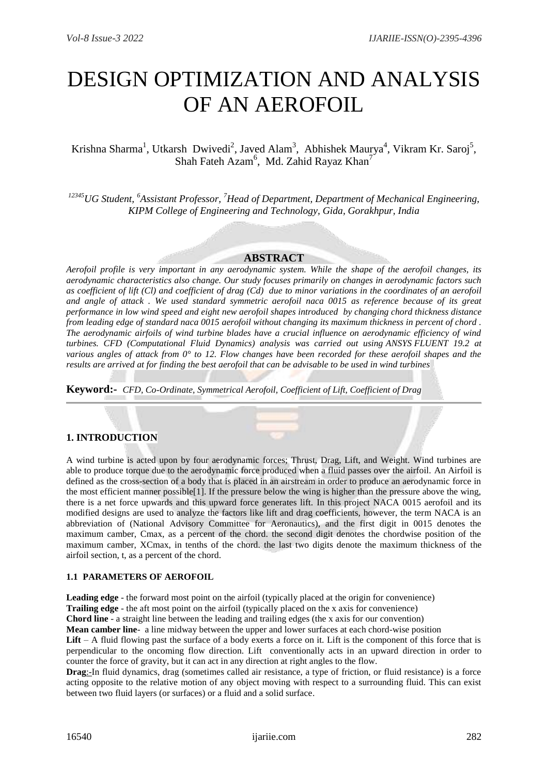# DESIGN OPTIMIZATION AND ANALYSIS OF AN AEROFOIL

## Krishna Sharma<sup>1</sup>, Utkarsh Dwivedi<sup>2</sup>, Javed Alam<sup>3</sup>, Abhishek Maurya<sup>4</sup>, Vikram Kr. Saroj<sup>5</sup>, Shah Fateh Azam<sup>6</sup>, Md. Zahid Rayaz Khan<sup>7</sup>

*<sup>12345</sup>UG Student, <sup>6</sup>Assistant Professor, <sup>7</sup>Head of Department, Department of Mechanical Engineering, KIPM College of Engineering and Technology, Gida, Gorakhpur, India*

#### **ABSTRACT**

*Aerofoil profile is very important in any aerodynamic system. While the shape of the aerofoil changes, its aerodynamic characteristics also change. Our study focuses primarily on changes in aerodynamic factors such as coefficient of lift (Cl) and coefficient of drag (Cd) due to minor variations in the coordinates of an aerofoil and angle of attack . We used standard symmetric aerofoil naca 0015 as reference because of its great performance in low wind speed and eight new aerofoil shapes introduced by changing chord thickness distance from leading edge of standard naca 0015 aerofoil without changing its maximum thickness in percent of chord . The aerodynamic airfoils of wind turbine blades have a crucial influence on aerodynamic efficiency of wind turbines. CFD (Computational Fluid Dynamics) analysis was carried out using ANSYS FLUENT 19.2 at various angles of attack from 0° to 12. Flow changes have been recorded for these aerofoil shapes and the results are arrived at for finding the best aerofoil that can be advisable to be used in wind turbines*

**Keyword:-** *CFD, Co-Ordinate, Symmetrical Aerofoil, Coefficient of Lift, Coefficient of Drag*

#### **1. INTRODUCTION**

A wind turbine is acted upon by four aerodynamic forces; Thrust, Drag, Lift, and Weight. Wind turbines are able to produce torque due to the aerodynamic force produced when a fluid passes over the airfoil. An Airfoil is defined as the cross-section of a body that is placed in an airstream in order to produce an aerodynamic force in the most efficient manner possible[1]. If the pressure below the wing is higher than the pressure above the wing, there is a net force upwards and this upward force generates lift. In this project NACA 0015 aerofoil and its modified designs are used to analyze the factors like lift and drag coefficients, however, the term NACA is an abbreviation of (National Advisory Committee for Aeronautics), and the first digit in 0015 denotes the maximum camber, Cmax, as a percent of the chord. the second digit denotes the chordwise position of the maximum camber, XCmax, in tenths of the chord. the last two digits denote the maximum thickness of the airfoil section, t, as a percent of the chord.

#### **1.1 PARAMETERS OF AEROFOIL**

**Leading edge** - the forward most point on the airfoil (typically placed at the origin for convenience)

**Trailing edge** - the aft most point on the airfoil (typically placed on the x axis for convenience)

**Chord line** - a straight line between the leading and trailing edges (the x axis for our convention)

**Mean camber line**- a line midway between the upper and lower surfaces at each chord-wise position

**Lift** – A fluid flowing past the surface of a body exerts a force on it. Lift is the component of this force that is perpendicular to the oncoming flow direction. Lift conventionally acts in an upward direction in order to counter the force of gravity, but it can act in any direction at right angles to the flow.

**Drag**:-In fluid dynamics, drag (sometimes called air resistance, a type of friction, or fluid resistance) is a force acting opposite to the relative motion of any object moving with respect to a surrounding fluid. This can exist between two fluid layers (or surfaces) or a fluid and a solid surface.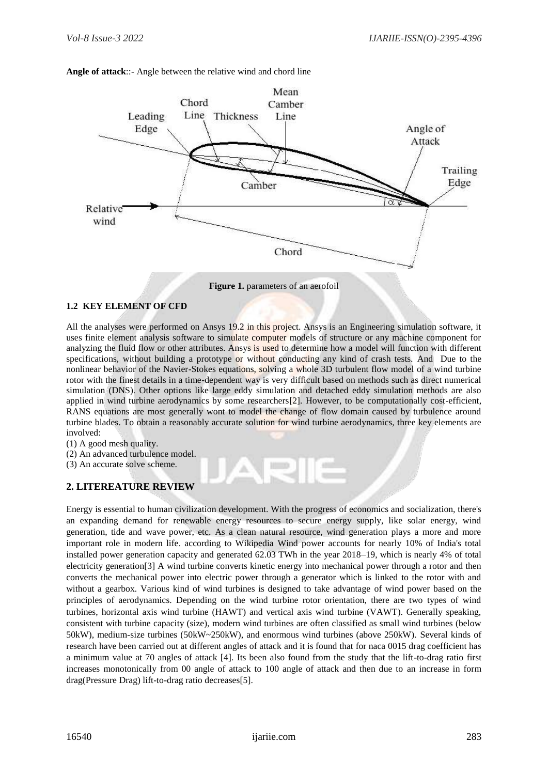

**Angle of attack**::- Angle between the relative wind and chord line

#### **1.2 KEY ELEMENT OF CFD**

All the analyses were performed on Ansys 19.2 in this project. Ansys is an Engineering simulation software, it uses finite element analysis software to simulate computer models of structure or any machine component for analyzing the fluid flow or other attributes. Ansys is used to determine how a model will function with different specifications, without building a prototype or without conducting any kind of crash tests. And Due to the nonlinear behavior of the Navier-Stokes equations, solving a whole 3D turbulent flow model of a wind turbine rotor with the finest details in a time-dependent way is very difficult based on methods such as direct numerical simulation (DNS). Other options like large eddy simulation and detached eddy simulation methods are also applied in wind turbine aerodynamics by some researchers[2]. However, to be computationally cost-efficient, RANS equations are most generally wont to model the change of flow domain caused by turbulence around turbine blades. To obtain a reasonably accurate solution for wind turbine aerodynamics, three key elements are involved:

- (1) A good mesh quality.
- (2) An advanced turbulence model.
- (3) An accurate solve scheme.

#### **2. LITEREATURE REVIEW**

Energy is essential to human civilization development. With the progress of economics and socialization, there's an expanding demand for renewable energy resources to secure energy supply, like solar energy, wind generation, tide and wave power, etc. As a clean natural resource, wind generation plays a more and more important role in modern life. according to Wikipedia Wind power accounts for nearly 10% of India's total installed power generation capacity and generated 62.03 TWh in the year 2018–19, which is nearly 4% of total electricity generation[3] A wind turbine converts kinetic energy into mechanical power through a rotor and then converts the mechanical power into electric power through a generator which is linked to the rotor with and without a gearbox. Various kind of wind turbines is designed to take advantage of wind power based on the principles of aerodynamics. Depending on the wind turbine rotor orientation, there are two types of wind turbines, horizontal axis wind turbine (HAWT) and vertical axis wind turbine (VAWT). Generally speaking, consistent with turbine capacity (size), modern wind turbines are often classified as small wind turbines (below 50kW), medium-size turbines (50kW~250kW), and enormous wind turbines (above 250kW). Several kinds of research have been carried out at different angles of attack and it is found that for naca 0015 drag coefficient has a minimum value at 70 angles of attack [4]. Its been also found from the study that the lift-to-drag ratio first increases monotonically from 00 angle of attack to 100 angle of attack and then due to an increase in form drag(Pressure Drag) lift-to-drag ratio decreases[5].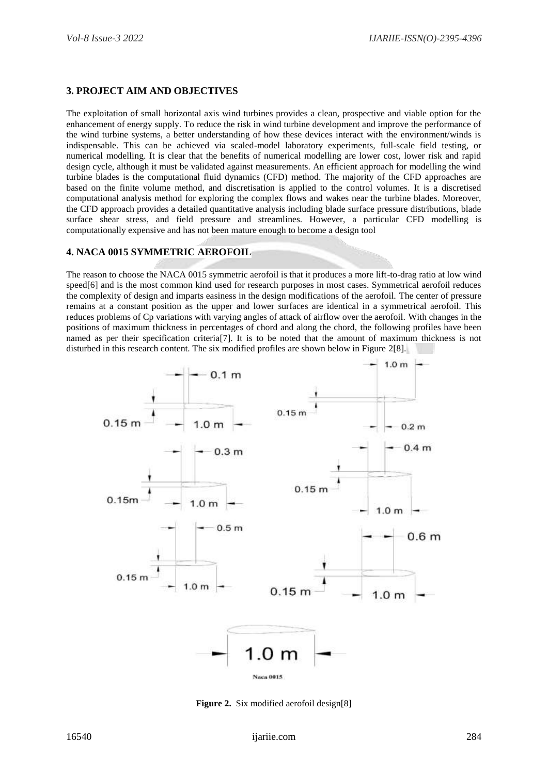## **3. PROJECT AIM AND OBJECTIVES**

The exploitation of small horizontal axis wind turbines provides a clean, prospective and viable option for the enhancement of energy supply. To reduce the risk in wind turbine development and improve the performance of the wind turbine systems, a better understanding of how these devices interact with the environment/winds is indispensable. This can be achieved via scaled-model laboratory experiments, full-scale field testing, or numerical modelling. It is clear that the benefits of numerical modelling are lower cost, lower risk and rapid design cycle, although it must be validated against measurements. An efficient approach for modelling the wind turbine blades is the computational fluid dynamics (CFD) method. The majority of the CFD approaches are based on the finite volume method, and discretisation is applied to the control volumes. It is a discretised computational analysis method for exploring the complex flows and wakes near the turbine blades. Moreover, the CFD approach provides a detailed quantitative analysis including blade surface pressure distributions, blade surface shear stress, and field pressure and streamlines. However, a particular CFD modelling is computationally expensive and has not been mature enough to become a design tool

#### **4. NACA 0015 SYMMETRIC AEROFOIL**

The reason to choose the NACA 0015 symmetric aerofoil is that it produces a more lift-to-drag ratio at low wind speed[6] and is the most common kind used for research purposes in most cases. Symmetrical aerofoil reduces the complexity of design and imparts easiness in the design modifications of the aerofoil. The center of pressure remains at a constant position as the upper and lower surfaces are identical in a symmetrical aerofoil. This reduces problems of Cp variations with varying angles of attack of airflow over the aerofoil. With changes in the positions of maximum thickness in percentages of chord and along the chord, the following profiles have been named as per their specification criteria[7]. It is to be noted that the amount of maximum thickness is not disturbed in this research content. The six modified profiles are shown below in Figure 2[8].



**Figure 2.** Six modified aerofoil design[8]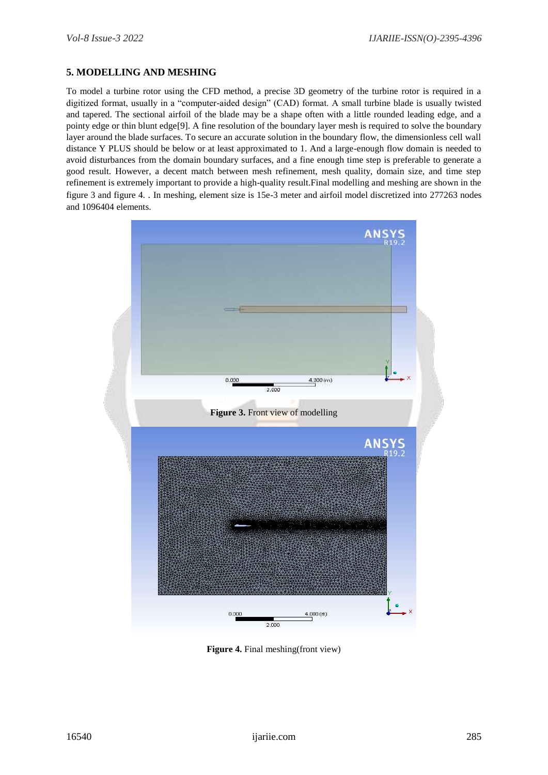## **5. MODELLING AND MESHING**

To model a turbine rotor using the CFD method, a precise 3D geometry of the turbine rotor is required in a digitized format, usually in a "computer-aided design" (CAD) format. A small turbine blade is usually twisted and tapered. The sectional airfoil of the blade may be a shape often with a little rounded leading edge, and a pointy edge or thin blunt edge[9]. A fine resolution of the boundary layer mesh is required to solve the boundary layer around the blade surfaces. To secure an accurate solution in the boundary flow, the dimensionless cell wall distance Y PLUS should be below or at least approximated to 1. And a large-enough flow domain is needed to avoid disturbances from the domain boundary surfaces, and a fine enough time step is preferable to generate a good result. However, a decent match between mesh refinement, mesh quality, domain size, and time step refinement is extremely important to provide a high-quality result.Final modelling and meshing are shown in the figure 3 and figure 4. . In meshing, element size is 15e-3 meter and airfoil model discretized into 277263 nodes and 1096404 elements.



**Figure 4.** Final meshing(front view)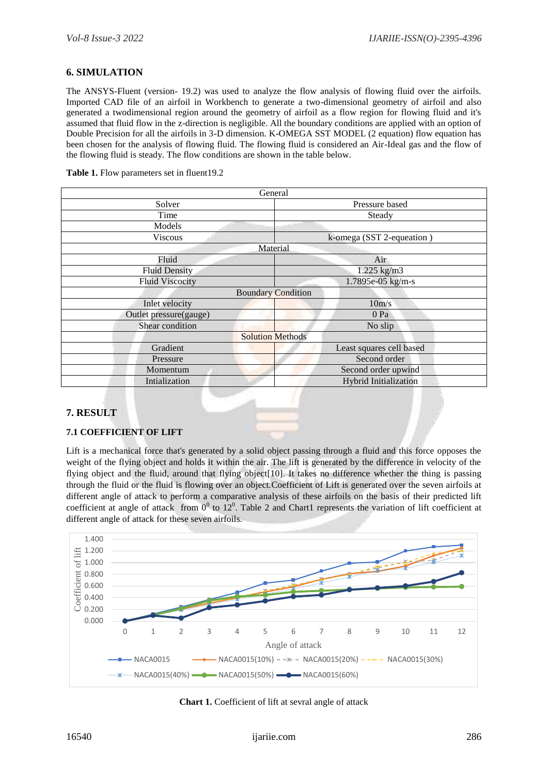## **6. SIMULATION**

The ANSYS-Fluent (version- 19.2) was used to analyze the flow analysis of flowing fluid over the airfoils. Imported CAD file of an airfoil in Workbench to generate a two-dimensional geometry of airfoil and also generated a twodimensional region around the geometry of airfoil as a flow region for flowing fluid and it's assumed that fluid flow in the z-direction is negligible. All the boundary conditions are applied with an option of Double Precision for all the airfoils in 3-D dimension. K-OMEGA SST MODEL (2 equation) flow equation has been chosen for the analysis of flowing fluid. The flowing fluid is considered an Air-Ideal gas and the flow of the flowing fluid is steady. The flow conditions are shown in the table below.

|  | Table 1. Flow parameters set in fluent19.2 |  |
|--|--------------------------------------------|--|
|  |                                            |  |

| General                   |                           |  |  |
|---------------------------|---------------------------|--|--|
| Solver                    | Pressure based            |  |  |
| Time                      | Steady                    |  |  |
| Models                    |                           |  |  |
| <b>Viscous</b>            | k-omega (SST 2-equeation) |  |  |
|                           | Material                  |  |  |
| Fluid                     | Air                       |  |  |
| <b>Fluid Density</b>      | $1.225$ kg/m3             |  |  |
| <b>Fluid Viscocity</b>    | 1.7895e-05 kg/m-s         |  |  |
| <b>Boundary Condition</b> |                           |  |  |
| Inlet velocity            | 10m/s                     |  |  |
| Outlet pressure(gauge)    | 0 Pa                      |  |  |
| Shear condition           | No slip                   |  |  |
|                           | <b>Solution Methods</b>   |  |  |
| Gradient                  | Least squares cell based  |  |  |
| Pressure                  | Second order              |  |  |
| Momentum                  | Second order upwind       |  |  |
| Intialization             | Hybrid Initialization     |  |  |
|                           |                           |  |  |

## **7. RESULT**

#### **7.1 COEFFICIENT OF LIFT**

Lift is a mechanical force that's generated by a solid object passing through a fluid and this force opposes the weight of the flying object and holds it within the air. The lift is generated by the difference in velocity of the flying object and the fluid, around that flying object[10]. It takes no difference whether the thing is passing through the fluid or the fluid is flowing over an object.Coefficient of Lift is generated over the seven airfoils at different angle of attack to perform a comparative analysis of these airfoils on the basis of their predicted lift coefficient at angle of attack from  $0^0$  to 12<sup>0</sup>. Table 2 and Chart1 represents the variation of lift coefficient at different angle of attack for these seven airfoils.



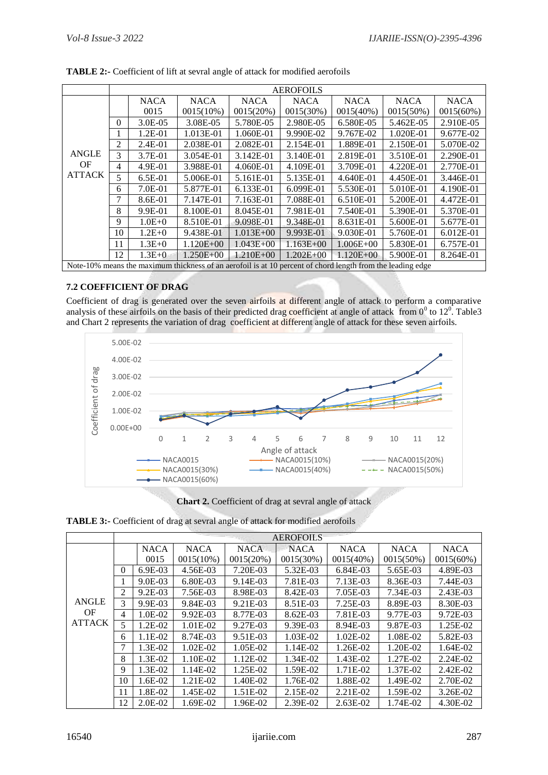|                                                                                                            | <b>AEROFOILS</b> |              |               |               |               |               |              |              |  |
|------------------------------------------------------------------------------------------------------------|------------------|--------------|---------------|---------------|---------------|---------------|--------------|--------------|--|
|                                                                                                            |                  | <b>NACA</b>  | <b>NACA</b>   | <b>NACA</b>   | <b>NACA</b>   | <b>NACA</b>   | <b>NACA</b>  | <b>NACA</b>  |  |
|                                                                                                            |                  | 0015         | $0015(10\%)$  | 0015(20%)     | $0015(30\%)$  | $0015(40\%)$  | $0015(50\%)$ | $0015(60\%)$ |  |
|                                                                                                            | $\Omega$         | $3.0E - 0.5$ | 3.08E-05      | 5.780E-05     | 2.980E-05     | 6.580E-05     | 5.462E-05    | 2.910E-05    |  |
|                                                                                                            |                  | $1.2E - 01$  | 1.013E-01     | 1.060E-01     | 9.990E-02     | 9.767E-02     | 1.020E-01    | 9.677E-02    |  |
|                                                                                                            | 2                | $2.4E-01$    | 2.038E-01     | 2.082E-01     | 2.154E-01     | 1.889E-01     | 2.150E-01    | 5.070E-02    |  |
| <b>ANGLE</b>                                                                                               | 3                | 3.7E-01      | 3.054E-01     | 3.142E-01     | 3.140E-01     | 2.819E-01     | 3.510E-01    | 2.290E-01    |  |
| OF                                                                                                         | 4                | 4.9E-01      | 3.988E-01     | 4.060E-01     | 4.109E-01     | 3.709E-01     | 4.220E-01    | 2.770E-01    |  |
| <b>ATTACK</b>                                                                                              | 5.               | $6.5E-01$    | 5.006E-01     | 5.161E-01     | 5.135E-01     | 4.640E-01     | 4.450E-01    | 3.446E-01    |  |
|                                                                                                            | 6                | $7.0E-01$    | 5.877E-01     | 6.133E-01     | 6.099E-01     | 5.530E-01     | 5.010E-01    | 4.190E-01    |  |
|                                                                                                            | 7                | 8.6E-01      | 7.147E-01     | 7.163E-01     | 7.088E-01     | 6.510E-01     | 5.200E-01    | 4.472E-01    |  |
|                                                                                                            | 8                | 9.9E-01      | 8.100E-01     | 8.045E-01     | 7.981E-01     | 7.540E-01     | 5.390E-01    | 5.370E-01    |  |
|                                                                                                            | 9                | $1.0E + 0$   | 8.510E-01     | 9.098E-01     | 9.348E-01     | 8.631E-01     | 5.600E-01    | 5.677E-01    |  |
|                                                                                                            | 10               | $1.2E + 0$   | 9.438E-01     | $1.013E + 00$ | 9.993E-01     | 9.030E-01     | 5.760E-01    | 6.012E-01    |  |
|                                                                                                            | 11               | $1.3E+0$     | $1.120E + 00$ | $1.043E + 00$ | $1.163E + 00$ | $1.006E + 00$ | 5.830E-01    | 6.757E-01    |  |
|                                                                                                            | 12               | $1.3E + 0.$  | $1.250E + 00$ | $1.210E + 00$ | $1.202E + 00$ | $1.120E + 00$ | 5.900E-01    | 8.264E-01    |  |
| Note-10% means the maximum thickness of an aerofoil is at 10 percent of chord length from the leading edge |                  |              |               |               |               |               |              |              |  |

**TABLE 2:-** Coefficient of lift at sevral angle of attack for modified aerofoils

## **7.2 COEFFICIENT OF DRAG**

Coefficient of drag is generated over the seven airfoils at different angle of attack to perform a comparative analysis of these airfoils on the basis of their predicted drag coefficient at angle of attack from  $0^0$  to  $12^0$ . Table 3 and Chart 2 represents the variation of drag coefficient at different angle of attack for these seven airfoils.



**Chart 2.** Coefficient of drag at sevral angle of attack

**TABLE 3:-** Coefficient of drag at sevral angle of attack for modified aerofoils

|                     | <b>AEROFOILS</b> |              |              |             |              |              |              |              |  |
|---------------------|------------------|--------------|--------------|-------------|--------------|--------------|--------------|--------------|--|
|                     |                  | <b>NACA</b>  | <b>NACA</b>  | <b>NACA</b> | <b>NACA</b>  | <b>NACA</b>  | <b>NACA</b>  | <b>NACA</b>  |  |
|                     |                  | 0015         | $0015(10\%)$ | 0015(20%)   | $0015(30\%)$ | $0015(40\%)$ | $0015(50\%)$ | $0015(60\%)$ |  |
|                     | $\theta$         | $6.9E-03$    | 4.56E-03     | 7.20E-03    | 5.32E-03     | 6.84E-03     | 5.65E-03     | 4.89E-03     |  |
|                     | 1                | $9.0E-03$    | 6.80E-03     | 9.14E-03    | 7.81E-03     | 7.13E-03     | 8.36E-03     | 7.44E-03     |  |
|                     | $\overline{2}$   | $9.2E - 0.3$ | 7.56E-03     | 8.98E-03    | 8.42E-03     | 7.05E-03     | 7.34E-03     | 2.43E-03     |  |
| <b>ANGLE</b>        | 3                | 9.9E-03      | 9.84E-03     | 9.21E-03    | 8.51E-03     | 7.25E-03     | 8.89E-03     | 8.30E-03     |  |
| OF<br><b>ATTACK</b> | 4                | 1.0E-02      | 9.92E-03     | 8.77E-03    | 8.62E-03     | 7.81E-03     | 9.77E-03     | 9.72E-03     |  |
|                     | 5                | $1.2E-02$    | 1.01E-02     | 9.27E-03    | 9.39E-03     | 8.94E-03     | 9.87E-03     | 1.25E-02     |  |
|                     | 6                | 1.1E-02      | 8.74E-03     | 9.51E-03    | 1.03E-02     | 1.02E-02     | 1.08E-02     | 5.82E-03     |  |
|                     |                  | 1.3E-02      | 1.02E-02     | 1.05E-02    | 1.14E-02     | 1.26E-02     | 1.20E-02     | 1.64E-02     |  |
|                     | 8                | 1.3E-02      | 1.10E-02     | $1.12E-02$  | 1.34E-02     | 1.43E-02     | 1.27E-02     | $2.24E-02$   |  |
|                     | 9                | 1.3E-02      | 1.14E-02     | 1.25E-02    | 1.59E-02     | 1.71E-02     | 1.37E-02     | 2.42E-02     |  |
|                     | 10               | 1.6E-02      | 1.21E-02     | 1.40E-02    | 1.76E-02     | 1.88E-02     | 1.49E-02     | 2.70E-02     |  |
|                     | 11               | 1.8E-02      | 1.45E-02     | 1.51E-02    | 2.15E-02     | 2.21E-02     | 1.59E-02     | 3.26E-02     |  |
|                     | 12               | $2.0E-02$    | 1.69E-02     | 1.96E-02    | 2.39E-02     | $2.63E-02$   | 1.74E-02     | 4.30E-02     |  |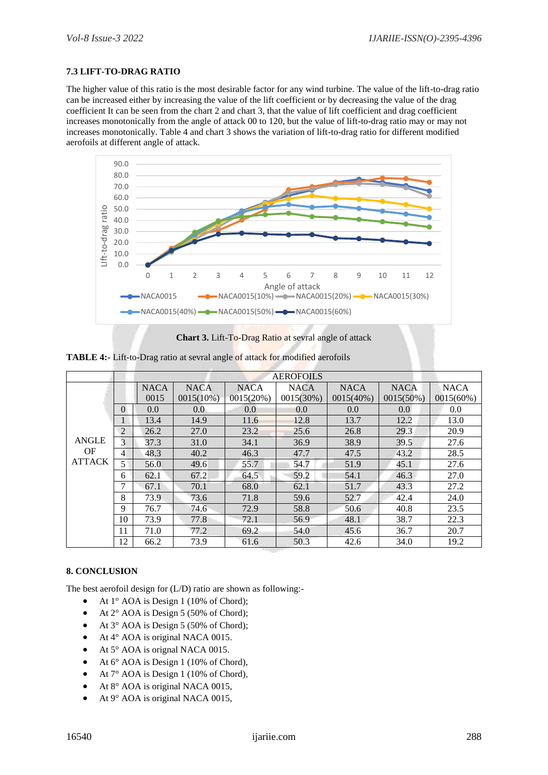#### **7.3 LIFT-TO-DRAG RATIO**

The higher value of this ratio is the most desirable factor for any wind turbine. The value of the lift-to-drag ratio can be increased either by increasing the value of the lift coefficient or by decreasing the value of the drag coefficient It can be seen from the chart 2 and chart 3, that the value of lift coefficient and drag coefficient increases monotonically from the angle of attack 00 to 120, but the value of lift-to-drag ratio may or may not increases monotonically. Table 4 and chart 3 shows the variation of lift-to-drag ratio for different modified aerofoils at different angle of attack.



**Chart 3.** Lift-To-Drag Ratio at sevral angle of attack

**TABLE 4:-** Lift-to-Drag ratio at sevral angle of attack for modified aerofoils

|                     | <b>AEROFOILS</b> |             |              |             |             |              |              |             |  |
|---------------------|------------------|-------------|--------------|-------------|-------------|--------------|--------------|-------------|--|
|                     |                  | <b>NACA</b> | <b>NACA</b>  | <b>NACA</b> | <b>NACA</b> | <b>NACA</b>  | <b>NACA</b>  | <b>NACA</b> |  |
|                     |                  | 0015        | $0015(10\%)$ | 0015(20%)   | 0015(30%)   | $0015(40\%)$ | $0015(50\%)$ | 0015(60%)   |  |
|                     | $\Omega$         | 0.0         | 0.0          | 0.0         | 0.0         | 0.0          | 0.0          | 0.0         |  |
|                     | 1                | 13.4        | 14.9         | 11.6        | 12.8        | 13.7         | 12.2         | 13.0        |  |
|                     | $\overline{2}$   | 26.2        | 27.0         | 23.2        | 25.6        | 26.8         | 29.3         | 20.9        |  |
| <b>ANGLE</b>        | 3                | 37.3        | 31.0         | 34.1        | 36.9        | 38.9         | 39.5         | 27.6        |  |
| OF<br><b>ATTACK</b> | 4                | 48.3        | 40.2         | 46.3        | 47.7        | 47.5         | 43.2         | 28.5        |  |
|                     | 5                | 56.0        | 49.6         | 55.7        | 54.7        | 51.9         | 45.1         | 27.6        |  |
|                     | 6                | 62.1        | 67.2         | 64.5        | 59.2        | 54.1         | 46.3         | 27.0        |  |
|                     | 7                | 67.1        | 70.1         | 68.0        | 62.1        | 51.7         | 43.3         | 27.2        |  |
|                     | 8                | 73.9        | 73.6         | 71.8        | 59.6        | 52.7         | 42.4         | 24.0        |  |
|                     | 9                | 76.7        | 74.6         | 72.9        | 58.8        | 50.6         | 40.8         | 23.5        |  |
|                     | 10               | 73.9        | 77.8         | 72.1        | 56.9        | 48.1         | 38.7         | 22.3        |  |
|                     | 11               | 71.0        | 77.2         | 69.2        | 54.0        | 45.6         | 36.7         | 20.7        |  |
|                     | 12               | 66.2        | 73.9         | 61.6        | 50.3        | 42.6         | 34.0         | 19.2        |  |

#### **8. CONCLUSION**

The best aerofoil design for (L/D) ratio are shown as following:-

- At  $1^\circ$  AOA is Design 1 (10% of Chord);
- At 2° AOA is Design 5 (50% of Chord);
- At 3° AOA is Design 5 (50% of Chord);
- At 4° AOA is original NACA 0015.
- At 5° AOA is orignal NACA 0015.
- At 6° AOA is Design 1 (10% of Chord),
- $\bullet$  At 7° AOA is Design 1 (10% of Chord),
- At 8° AOA is original NACA 0015,
- At 9° AOA is original NACA 0015,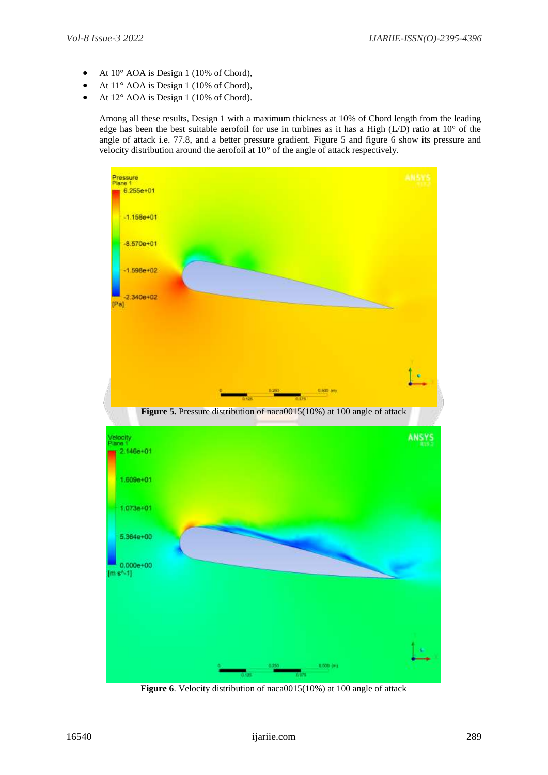- At  $10^{\circ}$  AOA is Design 1 (10% of Chord),
- At 11° AOA is Design 1 (10% of Chord),
- At 12° AOA is Design 1 (10% of Chord).

Among all these results, Design 1 with a maximum thickness at 10% of Chord length from the leading edge has been the best suitable aerofoil for use in turbines as it has a High (L/D) ratio at 10° of the angle of attack i.e. 77.8, and a better pressure gradient. Figure 5 and figure 6 show its pressure and velocity distribution around the aerofoil at 10° of the angle of attack respectively.



**Figure 6**. Velocity distribution of naca0015(10%) at 100 angle of attack